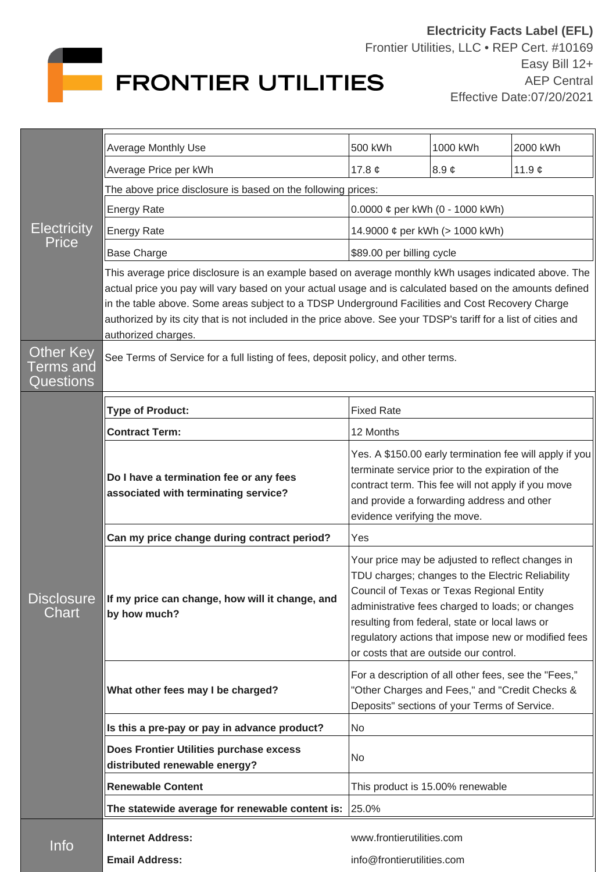

| <b>Electricity</b><br><b>Price</b>         | Average Monthly Use                                                                                                                                                                                                                                                                                                                                                                                                                                            | 500 kWh                                                                                                                                                                                                                                                                                                                                                  | 1000 kWh             | 2000 kWh    |  |
|--------------------------------------------|----------------------------------------------------------------------------------------------------------------------------------------------------------------------------------------------------------------------------------------------------------------------------------------------------------------------------------------------------------------------------------------------------------------------------------------------------------------|----------------------------------------------------------------------------------------------------------------------------------------------------------------------------------------------------------------------------------------------------------------------------------------------------------------------------------------------------------|----------------------|-------------|--|
|                                            | Average Price per kWh                                                                                                                                                                                                                                                                                                                                                                                                                                          | 17.8 $\phi$                                                                                                                                                                                                                                                                                                                                              | $8.9 \; \mathcal{C}$ | 11.9 $\phi$ |  |
|                                            | The above price disclosure is based on the following prices:                                                                                                                                                                                                                                                                                                                                                                                                   |                                                                                                                                                                                                                                                                                                                                                          |                      |             |  |
|                                            | <b>Energy Rate</b>                                                                                                                                                                                                                                                                                                                                                                                                                                             | 0.0000 $\phi$ per kWh (0 - 1000 kWh)                                                                                                                                                                                                                                                                                                                     |                      |             |  |
|                                            | <b>Energy Rate</b>                                                                                                                                                                                                                                                                                                                                                                                                                                             | 14.9000 ¢ per kWh (> 1000 kWh)                                                                                                                                                                                                                                                                                                                           |                      |             |  |
|                                            | <b>Base Charge</b>                                                                                                                                                                                                                                                                                                                                                                                                                                             | \$89.00 per billing cycle                                                                                                                                                                                                                                                                                                                                |                      |             |  |
|                                            | This average price disclosure is an example based on average monthly kWh usages indicated above. The<br>actual price you pay will vary based on your actual usage and is calculated based on the amounts defined<br>in the table above. Some areas subject to a TDSP Underground Facilities and Cost Recovery Charge<br>authorized by its city that is not included in the price above. See your TDSP's tariff for a list of cities and<br>authorized charges. |                                                                                                                                                                                                                                                                                                                                                          |                      |             |  |
| Other Key<br>Terms and<br><b>Questions</b> | See Terms of Service for a full listing of fees, deposit policy, and other terms.                                                                                                                                                                                                                                                                                                                                                                              |                                                                                                                                                                                                                                                                                                                                                          |                      |             |  |
| <b>DISCIOSURE</b><br>Chart                 | <b>Type of Product:</b>                                                                                                                                                                                                                                                                                                                                                                                                                                        | <b>Fixed Rate</b>                                                                                                                                                                                                                                                                                                                                        |                      |             |  |
|                                            | <b>Contract Term:</b>                                                                                                                                                                                                                                                                                                                                                                                                                                          | 12 Months                                                                                                                                                                                                                                                                                                                                                |                      |             |  |
|                                            | Do I have a termination fee or any fees<br>associated with terminating service?                                                                                                                                                                                                                                                                                                                                                                                | Yes. A \$150.00 early termination fee will apply if you<br>terminate service prior to the expiration of the<br>contract term. This fee will not apply if you move<br>and provide a forwarding address and other<br>evidence verifying the move.                                                                                                          |                      |             |  |
|                                            | Can my price change during contract period?                                                                                                                                                                                                                                                                                                                                                                                                                    | Yes                                                                                                                                                                                                                                                                                                                                                      |                      |             |  |
|                                            | If my price can change, how will it change, and<br>by how much?                                                                                                                                                                                                                                                                                                                                                                                                | Your price may be adjusted to reflect changes in<br>TDU charges; changes to the Electric Reliability<br>Council of Texas or Texas Regional Entity<br>administrative fees charged to loads; or changes<br>resulting from federal, state or local laws or<br>regulatory actions that impose new or modified fees<br>or costs that are outside our control. |                      |             |  |
|                                            | What other fees may I be charged?                                                                                                                                                                                                                                                                                                                                                                                                                              | For a description of all other fees, see the "Fees,"<br>"Other Charges and Fees," and "Credit Checks &<br>Deposits" sections of your Terms of Service.                                                                                                                                                                                                   |                      |             |  |
|                                            | Is this a pre-pay or pay in advance product?                                                                                                                                                                                                                                                                                                                                                                                                                   | <b>No</b>                                                                                                                                                                                                                                                                                                                                                |                      |             |  |
|                                            | Does Frontier Utilities purchase excess<br>distributed renewable energy?                                                                                                                                                                                                                                                                                                                                                                                       | No                                                                                                                                                                                                                                                                                                                                                       |                      |             |  |
|                                            | <b>Renewable Content</b>                                                                                                                                                                                                                                                                                                                                                                                                                                       | This product is 15.00% renewable                                                                                                                                                                                                                                                                                                                         |                      |             |  |
|                                            | The statewide average for renewable content is: $ 25.0\% $                                                                                                                                                                                                                                                                                                                                                                                                     |                                                                                                                                                                                                                                                                                                                                                          |                      |             |  |
| Info                                       | <b>Internet Address:</b>                                                                                                                                                                                                                                                                                                                                                                                                                                       | www.frontierutilities.com                                                                                                                                                                                                                                                                                                                                |                      |             |  |
|                                            | <b>Email Address:</b>                                                                                                                                                                                                                                                                                                                                                                                                                                          | info@frontierutilities.com                                                                                                                                                                                                                                                                                                                               |                      |             |  |